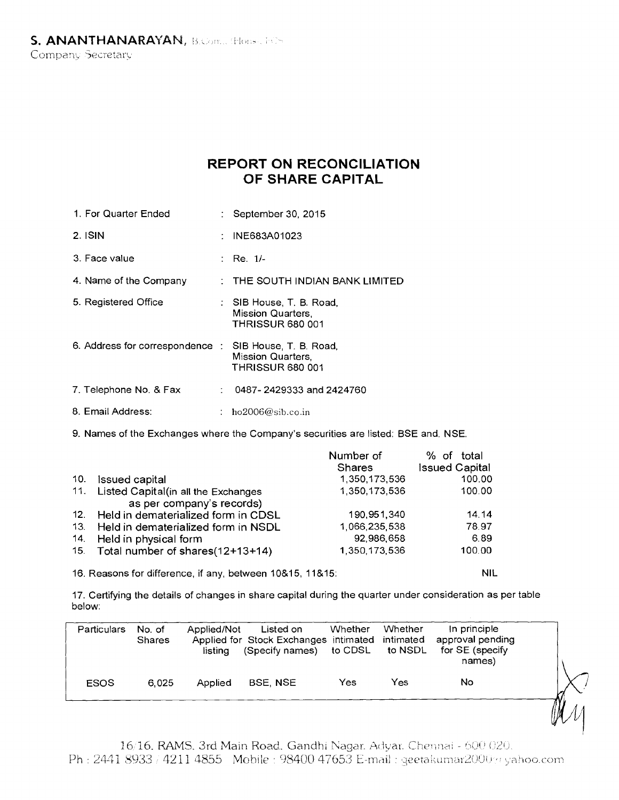## **REPORT ON RECONCILIATION OF SHARE CAPITAL**

- : September 30, 2015 1. For Quarter Ended
- : INE683A01023 2. ISIN
- Re. 1/- 3. Face value
- THE SOUTH INDIAN BANK LIMITED 4. Name of the Company
- SIB House, T. B. Road, Mission Quarters, THRISSUR 680 001 5. Registered Office
- 1. Address for correspondence SIB House, T. B. Road, Mission Quarters, THRISSUR 680 001
- 7. Telephone No. & Fax : 0487- 2429333 and 2424760
- 8. Email Address:  $\therefore$  ho2006@sib.co.in

9. Names of the Exchanges where the Company's securities are listed: BSE and. NSE

|     |                                         | Number of<br><b>Shares</b> | % of total<br><b>Issued Capital</b> |
|-----|-----------------------------------------|----------------------------|-------------------------------------|
| 10. | Issued capital                          | 1,350,173,536              | 100.00                              |
| 11. | Listed Capital(in all the Exchanges     | 1,350,173,536              | 100.00                              |
|     | as per company's records)               |                            |                                     |
|     | 12. Held in dematerialized form in CDSL | 190,951,340                | 14.14                               |
| 13. | Held in dematerialized form in NSDL     | 1,066,235,538              | 78.97                               |
| 14. | Held in physical form                   | 92,986,658                 | 6.89                                |
|     | 15. Total number of shares(12+13+14)    | 1,350,173,536              | 100.00                              |

16. Reasons for difference, if any, between 10&15, 11&15: NIL

17. Certifying the details of changes in share capital during the quarter under consideration as per table below:

|                                                                        | Particulars | No. of<br>Shares | Applied/Not<br>listina | Listed on<br>Applied for Stock Exchanges intimated intimated<br>(Specify names) to CDSL to NSDL | Whether | Whether | In principle<br>approval pending<br>for SE (specify<br>names) |  |
|------------------------------------------------------------------------|-------------|------------------|------------------------|-------------------------------------------------------------------------------------------------|---------|---------|---------------------------------------------------------------|--|
| No<br><b>BSE, NSE</b><br>Yes<br><b>ESOS</b><br>Applied<br>6.025<br>Yes |             |                  |                        |                                                                                                 |         |         |                                                               |  |

16/16. RAMS, 3rd Main Road. Gandhi Nagar. Advar. Chennai - 600 020. Ph : 2441 8933 / 4211 4855 Mobile : 98400 47653 E-mail : geetakumar2000 a yahoo.com